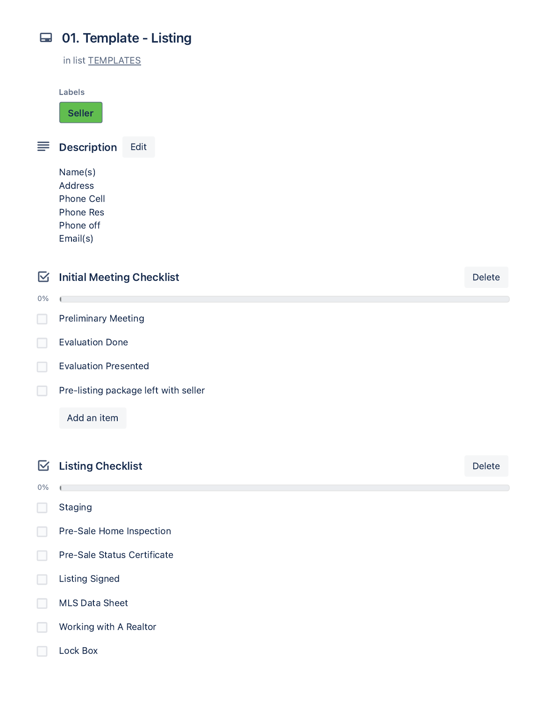# 01. Template - Listing

in list TEMPLATES

Labels

Seller

 $\equiv$  Description Edit

Name(s) Address Phone Cell Phone Res Phone off Email(s)



MLS Data Sheet П

Working with A Realtor

Lock Box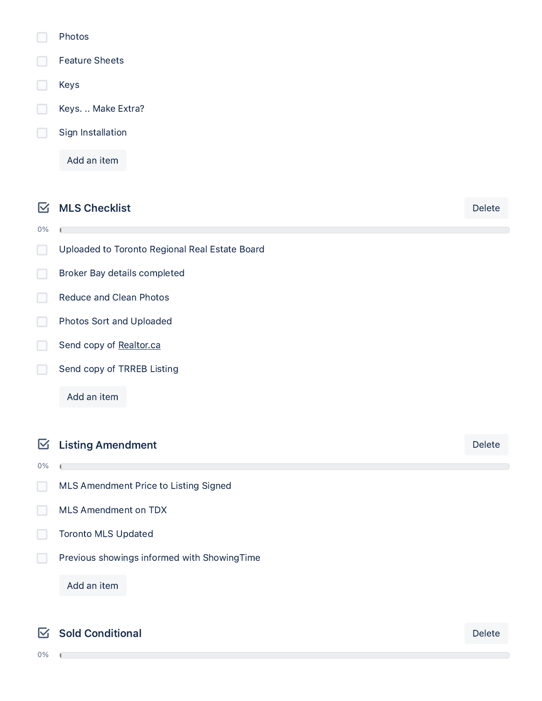- Photos
- Feature Sheets
- Keys

0%

- Keys. .. Make Extra?
- Sign Installation

Add an item

 $\boxdot$  MLS Checklist Delete

- Uploaded to Toronto Regional Real Estate Board  $\Box$
- Broker Bay details completed П
- Reduce and Clean Photos  $\Box$
- Photos Sort and Uploaded  $\Box$
- $\Box$ Send copy of [Realtor.ca](http://realtor.ca/)
- П Send copy of TRREB Listing

Add an item

**Listing Amendment** Delete

0%

 $\mathbf{r}$ 

MLS Amendment Price to Listing Signed

- MLS Amendment on TDX
- Toronto MLS Updated
- Previous showings informed with ShowingTime П

Add an item

## ■ Sold Conditional Delete

0%

Í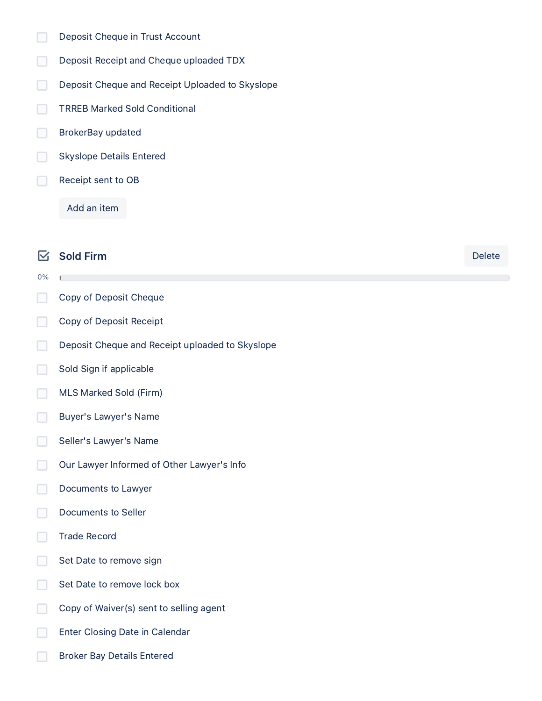- $\Box$ Deposit Cheque in Trust Account
- $\Box$ Deposit Receipt and Cheque uploaded TDX
- Deposit Cheque and Receipt Uploaded to Skyslope  $\Box$
- TRREB Marked Sold Conditional  $\Box$
- BrokerBay updated  $\Box$
- $\Box$ Skyslope Details Entered
- $\Box$ Receipt sent to OB

Add an item

## $\boxtimes$  Sold Firm Delete

- 0%
- $\Box$ Copy of Deposit Cheque
- $\Box$ Copy of Deposit Receipt
- $\Box$ Deposit Cheque and Receipt uploaded to Skyslope
- $\Box$ Sold Sign if applicable
- $\Box$ MLS Marked Sold (Firm)
- $\Box$ Buyer's Lawyer's Name
- $\Box$ Seller's Lawyer's Name
- $\Box$ Our Lawyer Informed of Other Lawyer's Info
- $\Box$ Documents to Lawyer
- Documents to Seller  $\Box$
- Trade Record П
- П Set Date to remove sign
- Set Date to remove lock box П
- П Copy of Waiver(s) sent to selling agent
- Enter Closing Date in Calendar
- Broker Bay Details Entered